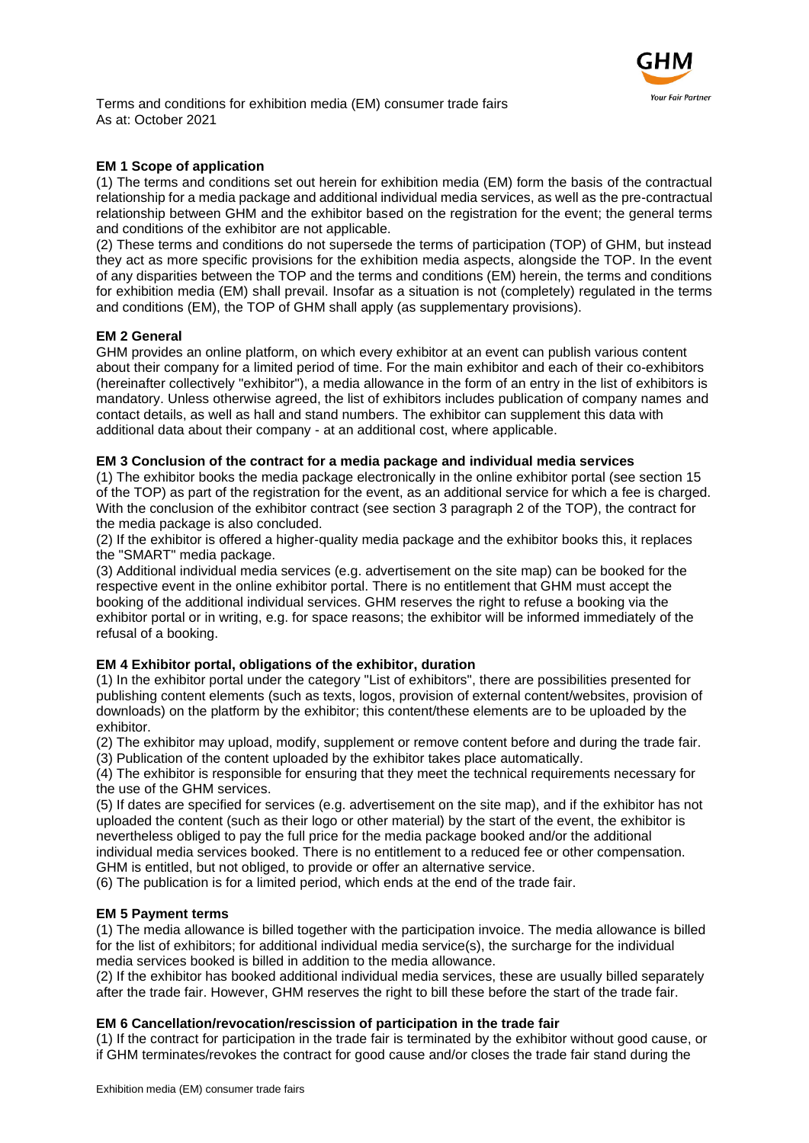

Terms and conditions for exhibition media (EM) consumer trade fairs As at: October 2021

# **EM 1 Scope of application**

(1) The terms and conditions set out herein for exhibition media (EM) form the basis of the contractual relationship for a media package and additional individual media services, as well as the pre-contractual relationship between GHM and the exhibitor based on the registration for the event; the general terms and conditions of the exhibitor are not applicable.

(2) These terms and conditions do not supersede the terms of participation (TOP) of GHM, but instead they act as more specific provisions for the exhibition media aspects, alongside the TOP. In the event of any disparities between the TOP and the terms and conditions (EM) herein, the terms and conditions for exhibition media (EM) shall prevail. Insofar as a situation is not (completely) regulated in the terms and conditions (EM), the TOP of GHM shall apply (as supplementary provisions).

## **EM 2 General**

GHM provides an online platform, on which every exhibitor at an event can publish various content about their company for a limited period of time. For the main exhibitor and each of their co-exhibitors (hereinafter collectively "exhibitor"), a media allowance in the form of an entry in the list of exhibitors is mandatory. Unless otherwise agreed, the list of exhibitors includes publication of company names and contact details, as well as hall and stand numbers. The exhibitor can supplement this data with additional data about their company - at an additional cost, where applicable.

### **EM 3 Conclusion of the contract for a media package and individual media services**

(1) The exhibitor books the media package electronically in the online exhibitor portal (see section 15 of the TOP) as part of the registration for the event, as an additional service for which a fee is charged. With the conclusion of the exhibitor contract (see section 3 paragraph 2 of the TOP), the contract for the media package is also concluded.

(2) If the exhibitor is offered a higher-quality media package and the exhibitor books this, it replaces the "SMART" media package.

(3) Additional individual media services (e.g. advertisement on the site map) can be booked for the respective event in the online exhibitor portal. There is no entitlement that GHM must accept the booking of the additional individual services. GHM reserves the right to refuse a booking via the exhibitor portal or in writing, e.g. for space reasons; the exhibitor will be informed immediately of the refusal of a booking.

### **EM 4 Exhibitor portal, obligations of the exhibitor, duration**

(1) In the exhibitor portal under the category "List of exhibitors", there are possibilities presented for publishing content elements (such as texts, logos, provision of external content/websites, provision of downloads) on the platform by the exhibitor; this content/these elements are to be uploaded by the exhibitor.

(2) The exhibitor may upload, modify, supplement or remove content before and during the trade fair. (3) Publication of the content uploaded by the exhibitor takes place automatically.

(4) The exhibitor is responsible for ensuring that they meet the technical requirements necessary for the use of the GHM services.

(5) If dates are specified for services (e.g. advertisement on the site map), and if the exhibitor has not uploaded the content (such as their logo or other material) by the start of the event, the exhibitor is nevertheless obliged to pay the full price for the media package booked and/or the additional individual media services booked. There is no entitlement to a reduced fee or other compensation.

GHM is entitled, but not obliged, to provide or offer an alternative service. (6) The publication is for a limited period, which ends at the end of the trade fair.

## **EM 5 Payment terms**

(1) The media allowance is billed together with the participation invoice. The media allowance is billed for the list of exhibitors; for additional individual media service(s), the surcharge for the individual media services booked is billed in addition to the media allowance.

(2) If the exhibitor has booked additional individual media services, these are usually billed separately after the trade fair. However, GHM reserves the right to bill these before the start of the trade fair.

# **EM 6 Cancellation/revocation/rescission of participation in the trade fair**

(1) If the contract for participation in the trade fair is terminated by the exhibitor without good cause, or if GHM terminates/revokes the contract for good cause and/or closes the trade fair stand during the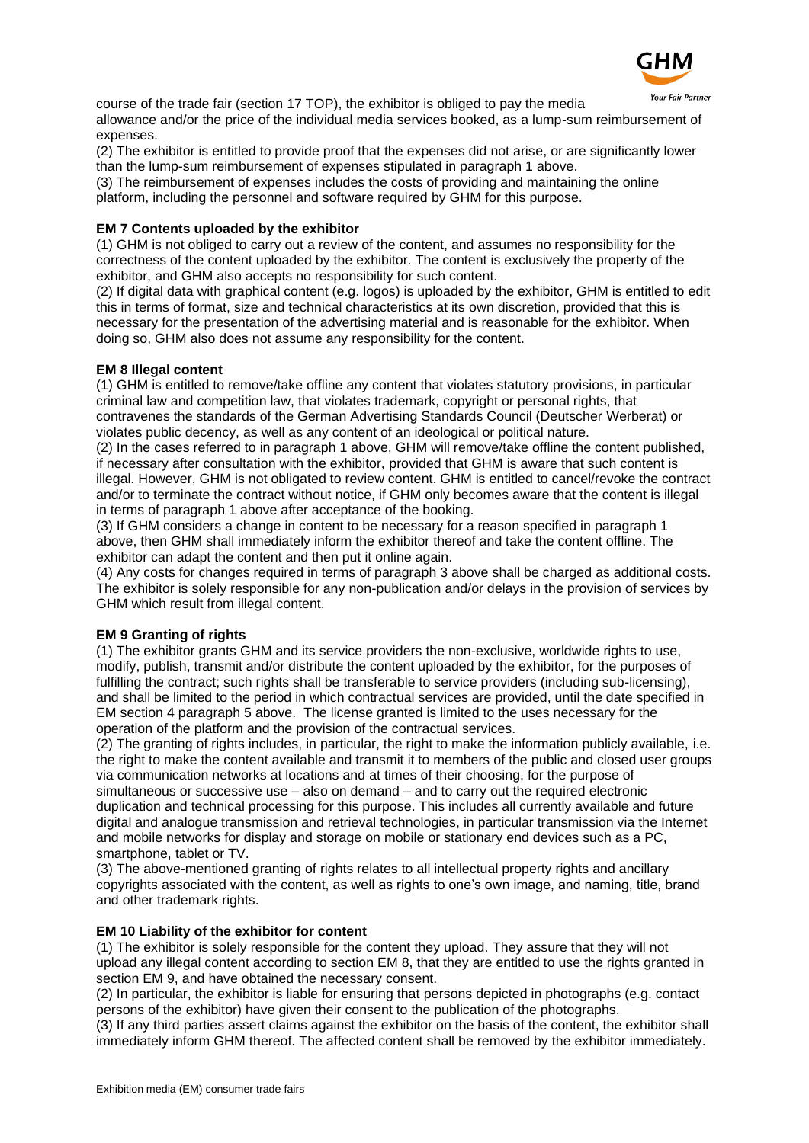

course of the trade fair (section 17 TOP), the exhibitor is obliged to pay the media allowance and/or the price of the individual media services booked, as a lump-sum reimbursement of expenses.

(2) The exhibitor is entitled to provide proof that the expenses did not arise, or are significantly lower than the lump-sum reimbursement of expenses stipulated in paragraph 1 above.

(3) The reimbursement of expenses includes the costs of providing and maintaining the online platform, including the personnel and software required by GHM for this purpose.

## **EM 7 Contents uploaded by the exhibitor**

(1) GHM is not obliged to carry out a review of the content, and assumes no responsibility for the correctness of the content uploaded by the exhibitor. The content is exclusively the property of the exhibitor, and GHM also accepts no responsibility for such content.

(2) If digital data with graphical content (e.g. logos) is uploaded by the exhibitor, GHM is entitled to edit this in terms of format, size and technical characteristics at its own discretion, provided that this is necessary for the presentation of the advertising material and is reasonable for the exhibitor. When doing so, GHM also does not assume any responsibility for the content.

## **EM 8 Illegal content**

(1) GHM is entitled to remove/take offline any content that violates statutory provisions, in particular criminal law and competition law, that violates trademark, copyright or personal rights, that contravenes the standards of the German Advertising Standards Council (Deutscher Werberat) or violates public decency, as well as any content of an ideological or political nature.

(2) In the cases referred to in paragraph 1 above, GHM will remove/take offline the content published, if necessary after consultation with the exhibitor, provided that GHM is aware that such content is illegal. However, GHM is not obligated to review content. GHM is entitled to cancel/revoke the contract and/or to terminate the contract without notice, if GHM only becomes aware that the content is illegal in terms of paragraph 1 above after acceptance of the booking.

(3) If GHM considers a change in content to be necessary for a reason specified in paragraph 1 above, then GHM shall immediately inform the exhibitor thereof and take the content offline. The exhibitor can adapt the content and then put it online again.

(4) Any costs for changes required in terms of paragraph 3 above shall be charged as additional costs. The exhibitor is solely responsible for any non-publication and/or delays in the provision of services by GHM which result from illegal content.

### **EM 9 Granting of rights**

(1) The exhibitor grants GHM and its service providers the non-exclusive, worldwide rights to use, modify, publish, transmit and/or distribute the content uploaded by the exhibitor, for the purposes of fulfilling the contract; such rights shall be transferable to service providers (including sub-licensing), and shall be limited to the period in which contractual services are provided, until the date specified in EM section 4 paragraph 5 above. The license granted is limited to the uses necessary for the operation of the platform and the provision of the contractual services.

(2) The granting of rights includes, in particular, the right to make the information publicly available, i.e. the right to make the content available and transmit it to members of the public and closed user groups via communication networks at locations and at times of their choosing, for the purpose of simultaneous or successive use – also on demand – and to carry out the required electronic duplication and technical processing for this purpose. This includes all currently available and future digital and analogue transmission and retrieval technologies, in particular transmission via the Internet and mobile networks for display and storage on mobile or stationary end devices such as a PC, smartphone, tablet or TV.

(3) The above-mentioned granting of rights relates to all intellectual property rights and ancillary copyrights associated with the content, as well as rights to one's own image, and naming, title, brand and other trademark rights.

### **EM 10 Liability of the exhibitor for content**

(1) The exhibitor is solely responsible for the content they upload. They assure that they will not upload any illegal content according to section EM 8, that they are entitled to use the rights granted in section EM 9, and have obtained the necessary consent.

(2) In particular, the exhibitor is liable for ensuring that persons depicted in photographs (e.g. contact persons of the exhibitor) have given their consent to the publication of the photographs.

(3) If any third parties assert claims against the exhibitor on the basis of the content, the exhibitor shall immediately inform GHM thereof. The affected content shall be removed by the exhibitor immediately.